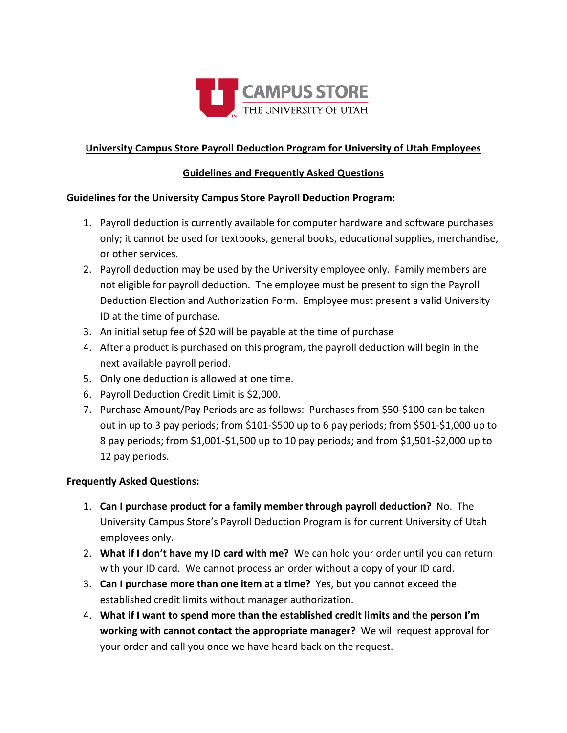

## University Campus Store Payroll Deduction Program for University of Utah Employees

### Guidelines and Frequently Asked Questions

#### Guidelines for the University Campus Store Payroll Deduction Program:

- 1. Payroll deduction is currently available for computer hardware and software purchases only; it cannot be used for textbooks, general books, educational supplies, merchandise, or other services.
- 2. Payroll deduction may be used by the University employee only. Family members are not eligible for payroll deduction. The employee must be present to sign the Payroll Deduction Election and Authorization Form. Employee must present a valid University ID at the time of purchase.
- 3. An initial setup fee of \$20 will be payable at the time of purchase
- 4. After a product is purchased on this program, the payroll deduction will begin in the next available payroll period.
- 5. Only one deduction is allowed at one time.
- 6. Payroll Deduction Credit Limit is \$2,000.
- 7. Purchase Amount/Pay Periods are as follows: Purchases from \$50-\$100 can be taken out in up to 3 pay periods; from \$101-\$500 up to 6 pay periods; from \$501-\$1,000 up to 8 pay periods; from \$1,001-\$1,500 up to 10 pay periods; and from \$1,501-\$2,000 up to 12 pay periods.

#### Frequently Asked Questions:

- 1. Can I purchase product for a family member through payroll deduction? No. The University Campus Store's Payroll Deduction Program is for current University of Utah employees only.
- 2. What if I don't have my ID card with me? We can hold your order until you can return with your ID card. We cannot process an order without a copy of your ID card.
- 3. Can I purchase more than one item at a time? Yes, but you cannot exceed the established credit limits without manager authorization.
- 4. What if I want to spend more than the established credit limits and the person I'm working with cannot contact the appropriate manager? We will request approval for your order and call you once we have heard back on the request.